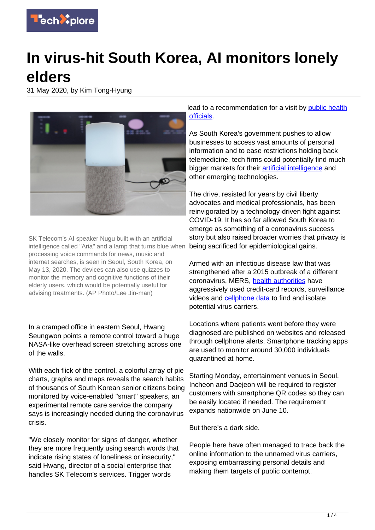

## **In virus-hit South Korea, AI monitors lonely elders**

31 May 2020, by Kim Tong-Hyung



SK Telecom's AI speaker Nugu built with an artificial intelligence called "Aria" and a lamp that turns blue when processing voice commands for news, music and internet searches, is seen in Seoul, South Korea, on May 13, 2020. The devices can also use quizzes to monitor the memory and cognitive functions of their elderly users, which would be potentially useful for advising treatments. (AP Photo/Lee Jin-man)

In a cramped office in eastern Seoul, Hwang Seungwon points a remote control toward a huge NASA-like overhead screen stretching across one of the walls.

With each flick of the control, a colorful array of pie charts, graphs and maps reveals the search habits of thousands of South Korean senior citizens being monitored by voice-enabled "smart" speakers, an experimental remote care service the company says is increasingly needed during the coronavirus crisis.

"We closely monitor for signs of danger, whether they are more frequently using search words that indicate rising states of loneliness or insecurity," said Hwang, director of a social enterprise that handles SK Telecom's services. Trigger words

lead to a recommendation for a visit by [public health](https://techxplore.com/tags/public+health+officials/) [officials](https://techxplore.com/tags/public+health+officials/).

As South Korea's government pushes to allow businesses to access vast amounts of personal information and to ease restrictions holding back telemedicine, tech firms could potentially find much bigger markets for their **artificial intelligence** and other emerging technologies.

The drive, resisted for years by civil liberty advocates and medical professionals, has been reinvigorated by a technology-driven fight against COVID-19. It has so far allowed South Korea to emerge as something of a coronavirus success story but also raised broader worries that privacy is being sacrificed for epidemiological gains.

Armed with an infectious disease law that was strengthened after a 2015 outbreak of a different coronavirus, MERS, [health authorities](https://techxplore.com/tags/health+authorities/) have aggressively used credit-card records, surveillance videos and [cellphone data](https://techxplore.com/tags/cellphone+data/) to find and isolate potential virus carriers.

Locations where patients went before they were diagnosed are published on websites and released through cellphone alerts. Smartphone tracking apps are used to monitor around 30,000 individuals quarantined at home.

Starting Monday, entertainment venues in Seoul, Incheon and Daejeon will be required to register customers with smartphone QR codes so they can be easily located if needed. The requirement expands nationwide on June 10.

But there's a dark side.

People here have often managed to trace back the online information to the unnamed virus carriers, exposing embarrassing personal details and making them targets of public contempt.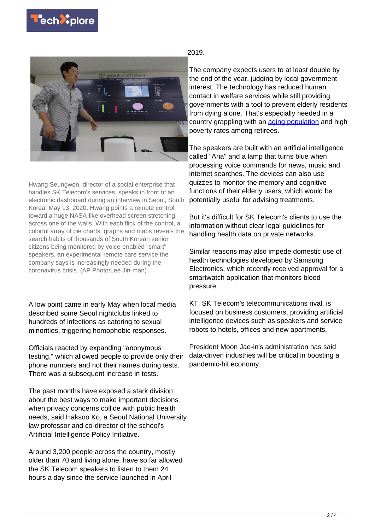



Hwang Seungwon, director of a social enterprise that handles SK Telecom's services, speaks in front of an electronic dashboard during an interview in Seoul, South Korea, May 13, 2020. Hwang points a remote control toward a huge NASA-like overhead screen stretching across one of the walls. With each flick of the control, a colorful array of pie charts, graphs and maps reveals the search habits of thousands of South Korean senior citizens being monitored by voice-enabled "smart" speakers, an experimental remote care service the company says is increasingly needed during the coronavirus crisis. (AP Photo/Lee Jin-man)

A low point came in early May when local media described some Seoul nightclubs linked to hundreds of infections as catering to sexual minorities, triggering homophobic responses.

Officials reacted by expanding "anonymous testing," which allowed people to provide only their phone numbers and not their names during tests. There was a subsequent increase in tests.

The past months have exposed a stark division about the best ways to make important decisions when privacy concerns collide with public health needs, said Haksoo Ko, a Seoul National University law professor and co-director of the school's Artificial Intelligence Policy Initiative.

Around 3,200 people across the country, mostly older than 70 and living alone, have so far allowed the SK Telecom speakers to listen to them 24 hours a day since the service launched in April

## 2019.

The company expects users to at least double by the end of the year, judging by local government interest. The technology has reduced human contact in welfare services while still providing governments with a tool to prevent elderly residents from dying alone. That's especially needed in a country grappling with an [aging population](https://techxplore.com/tags/aging+population/) and high poverty rates among retirees.

The speakers are built with an artificial intelligence called "Aria" and a lamp that turns blue when processing voice commands for news, music and internet searches. The devices can also use quizzes to monitor the memory and cognitive functions of their elderly users, which would be potentially useful for advising treatments.

But it's difficult for SK Telecom's clients to use the information without clear legal guidelines for handling health data on private networks.

Similar reasons may also impede domestic use of health technologies developed by Samsung Electronics, which recently received approval for a smartwatch application that monitors blood pressure.

KT, SK Telecom's telecommunications rival, is focused on business customers, providing artificial intelligence devices such as speakers and service robots to hotels, offices and new apartments.

President Moon Jae-in's administration has said data-driven industries will be critical in boosting a pandemic-hit economy.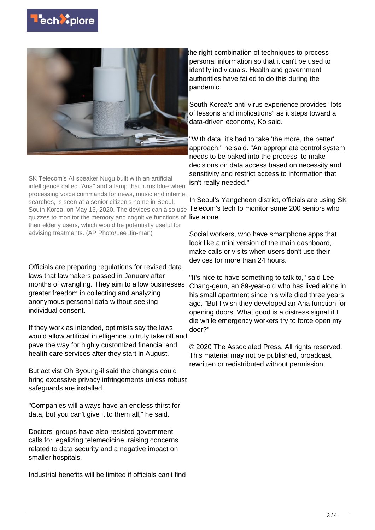



SK Telecom's AI speaker Nugu built with an artificial intelligence called "Aria" and a lamp that turns blue when processing voice commands for news, music and internet searches, is seen at a senior citizen's home in Seoul, South Korea, on May 13, 2020. The devices can also use Telecom's tech to monitor some 200 seniors who quizzes to monitor the memory and cognitive functions of live alone. their elderly users, which would be potentially useful for advising treatments. (AP Photo/Lee Jin-man)

Officials are preparing regulations for revised data laws that lawmakers passed in January after months of wrangling. They aim to allow businesses greater freedom in collecting and analyzing anonymous personal data without seeking individual consent.

If they work as intended, optimists say the laws would allow artificial intelligence to truly take off and pave the way for highly customized financial and health care services after they start in August.

But activist Oh Byoung-il said the changes could bring excessive privacy infringements unless robust safeguards are installed.

"Companies will always have an endless thirst for data, but you can't give it to them all," he said.

Doctors' groups have also resisted government calls for legalizing telemedicine, raising concerns related to data security and a negative impact on smaller hospitals.

Industrial benefits will be limited if officials can't find

the right combination of techniques to process personal information so that it can't be used to identify individuals. Health and government authorities have failed to do this during the pandemic.

South Korea's anti-virus experience provides "lots of lessons and implications" as it steps toward a data-driven economy, Ko said.

"With data, it's bad to take 'the more, the better' approach," he said. "An appropriate control system needs to be baked into the process, to make decisions on data access based on necessity and sensitivity and restrict access to information that isn't really needed."

In Seoul's Yangcheon district, officials are using SK

Social workers, who have smartphone apps that look like a mini version of the main dashboard, make calls or visits when users don't use their devices for more than 24 hours.

"It's nice to have something to talk to," said Lee Chang-geun, an 89-year-old who has lived alone in his small apartment since his wife died three years ago. "But I wish they developed an Aria function for opening doors. What good is a distress signal if I die while emergency workers try to force open my door?"

© 2020 The Associated Press. All rights reserved. This material may not be published, broadcast, rewritten or redistributed without permission.